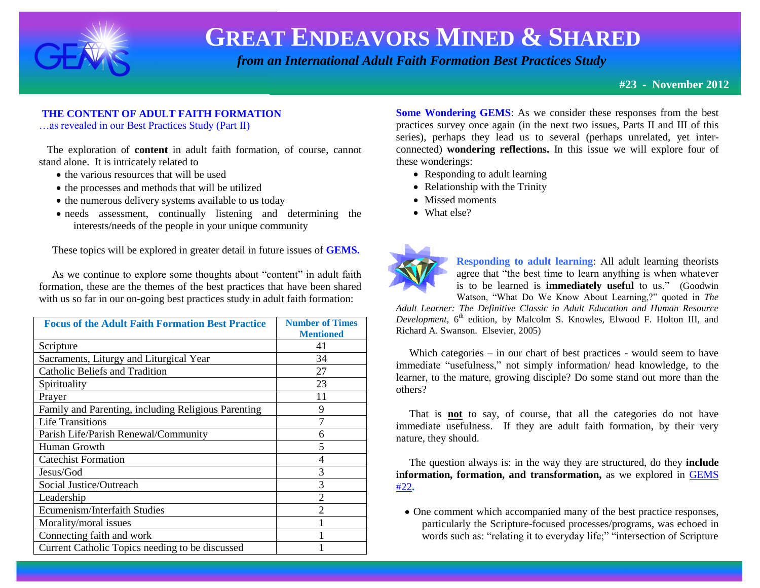

 *from an International Adult Faith Formation Best Practices Study*

**#23 - November 2012**

#### **THE CONTENT OF ADULT FAITH FORMATION**

…as revealed in our Best Practices Study (Part II)

 The exploration of **content** in adult faith formation, of course, cannot stand alone. It is intricately related to

- the various resources that will be used
- the processes and methods that will be utilized
- the numerous delivery systems available to us today
- needs assessment, continually listening and determining the interests/needs of the people in your unique community

These topics will be explored in greater detail in future issues of **GEMS.**

 As we continue to explore some thoughts about "content" in adult faith formation, these are the themes of the best practices that have been shared with us so far in our on-going best practices study in adult faith formation:

| <b>Focus of the Adult Faith Formation Best Practice</b> | <b>Number of Times</b><br><b>Mentioned</b> |
|---------------------------------------------------------|--------------------------------------------|
|                                                         |                                            |
| Scripture                                               | 41                                         |
| Sacraments, Liturgy and Liturgical Year                 | 34                                         |
| <b>Catholic Beliefs and Tradition</b>                   | 27                                         |
| Spirituality                                            | 23                                         |
| Prayer                                                  | 11                                         |
| Family and Parenting, including Religious Parenting     | 9                                          |
| <b>Life Transitions</b>                                 | 7                                          |
| Parish Life/Parish Renewal/Community                    | 6                                          |
| Human Growth                                            | $\overline{\mathbf{5}}$                    |
| <b>Catechist Formation</b>                              | 4                                          |
| Jesus/God                                               | 3                                          |
| Social Justice/Outreach                                 | 3                                          |
| Leadership                                              | $\overline{2}$                             |
| Ecumenism/Interfaith Studies                            | $\mathfrak{D}$                             |
| Morality/moral issues                                   |                                            |
| Connecting faith and work                               |                                            |
| Current Catholic Topics needing to be discussed         |                                            |

**Some Wondering GEMS**: As we consider these responses from the best practices survey once again (in the next two issues, Parts II and III of this series), perhaps they lead us to several (perhaps unrelated, yet interconnected) **wondering reflections.** In this issue we will explore four of these wonderings:

- Responding to adult learning
- Relationship with the Trinity
- Missed moments
- What else?



**Responding to adult learning**: All adult learning theorists agree that "the best time to learn anything is when whatever is to be learned is **immediately useful** to us." (Goodwin Watson, "What Do We Know About Learning,?" quoted in *The* 

*Adult Learner: The Definitive Classic in Adult Education and Human Resource*  Development, 6<sup>th</sup> edition, by Malcolm S. Knowles, Elwood F. Holton III, and Richard A. Swanson. Elsevier, 2005)

 Which categories – in our chart of best practices - would seem to have immediate "usefulness," not simply information/ head knowledge, to the learner, to the mature, growing disciple? Do some stand out more than the others?

 That is **not** to say, of course, that all the categories do not have immediate usefulness. If they are adult faith formation, by their very nature, they should.

 The question always is: in the way they are structured, do they **include information, formation, and transformation,** as we explored in [GEMS](http://www.janetschaeffler.com/Best-Practices.html)  [#22](http://www.janetschaeffler.com/Best-Practices.html)**.** 

• One comment which accompanied many of the best practice responses, particularly the Scripture-focused processes/programs, was echoed in words such as: "relating it to everyday life;" "intersection of Scripture"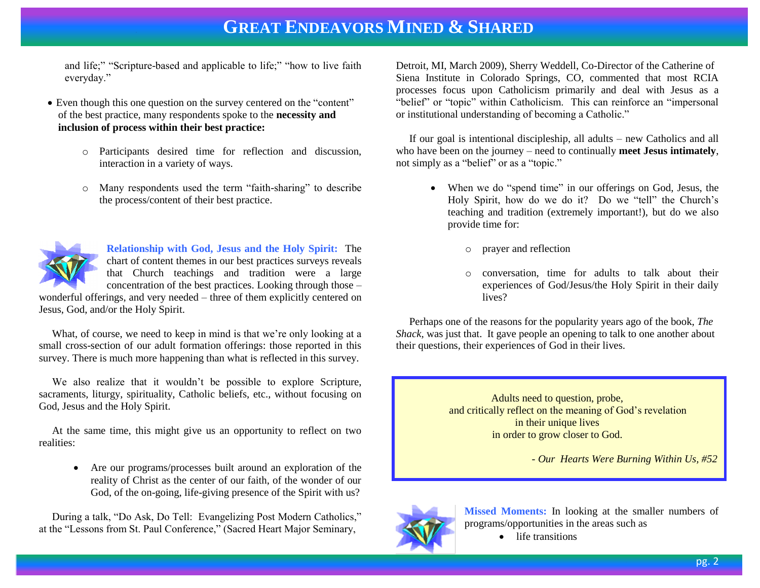and life;" "Scripture-based and applicable to life;" "how to live faith everyday."

- Even though this one question on the survey centered on the "content" of the best practice, many respondents spoke to the **necessity and inclusion of process within their best practice:**
	- o Participants desired time for reflection and discussion, interaction in a variety of ways.
	- o Many respondents used the term "faith-sharing" to describe the process/content of their best practice.



**Relationship with God, Jesus and the Holy Spirit:** The chart of content themes in our best practices surveys reveals that Church teachings and tradition were a large concentration of the best practices. Looking through those –

wonderful offerings, and very needed – three of them explicitly centered on Jesus, God, and/or the Holy Spirit.

What, of course, we need to keep in mind is that we're only looking at a small cross-section of our adult formation offerings: those reported in this survey. There is much more happening than what is reflected in this survey.

 We also realize that it wouldn't be possible to explore Scripture, sacraments, liturgy, spirituality, Catholic beliefs, etc., without focusing on God, Jesus and the Holy Spirit.

 At the same time, this might give us an opportunity to reflect on two realities:

> Are our programs/processes built around an exploration of the reality of Christ as the center of our faith, of the wonder of our God, of the on-going, life-giving presence of the Spirit with us?

 During a talk, "Do Ask, Do Tell: Evangelizing Post Modern Catholics," at the "Lessons from St. Paul Conference," (Sacred Heart Major Seminary,

Detroit, MI, March 2009), Sherry Weddell, Co-Director of the Catherine of Siena Institute in Colorado Springs, CO, commented that most RCIA processes focus upon Catholicism primarily and deal with Jesus as a "belief" or "topic" within Catholicism. This can reinforce an "impersonal or institutional understanding of becoming a Catholic."

 If our goal is intentional discipleship, all adults – new Catholics and all who have been on the journey – need to continually **meet Jesus intimately**, not simply as a "belief" or as a "topic."

- When we do "spend time" in our offerings on God, Jesus, the Holy Spirit, how do we do it? Do we "tell" the Church's teaching and tradition (extremely important!), but do we also provide time for:
	- o prayer and reflection
	- o conversation, time for adults to talk about their experiences of God/Jesus/the Holy Spirit in their daily lives?

 Perhaps one of the reasons for the popularity years ago of the book, *The Shack, was just that.* It gave people an opening to talk to one another about their questions, their experiences of God in their lives.

> Adults need to question, probe, and critically reflect on the meaning of God's revelation in their unique lives in order to grow closer to God.

> > *- Our Hearts Were Burning Within Us, #52*



**Missed Moments:** In looking at the smaller numbers of programs/opportunities in the areas such as

• life transitions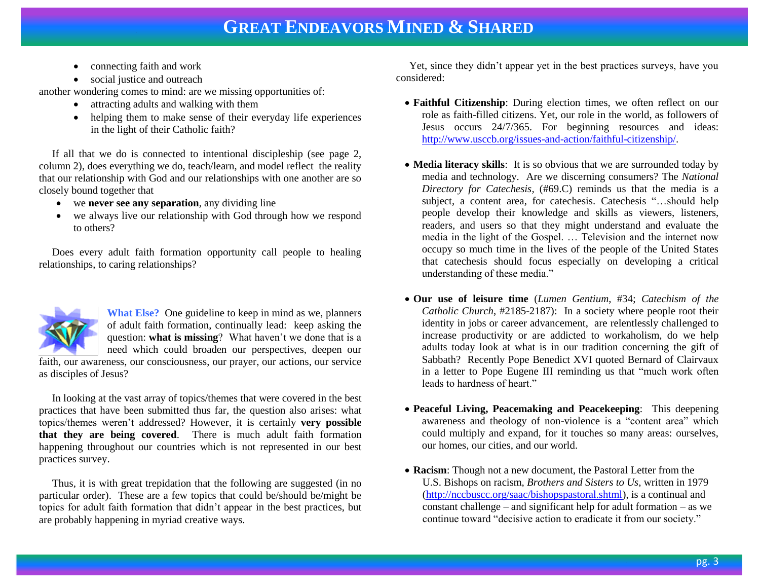- connecting faith and work
- social justice and outreach

another wondering comes to mind: are we missing opportunities of:

- attracting adults and walking with them
- helping them to make sense of their everyday life experiences in the light of their Catholic faith?

 If all that we do is connected to intentional discipleship (see page 2, column 2), does everything we do, teach/learn, and model reflect the reality that our relationship with God and our relationships with one another are so closely bound together that

- we **never see any separation**, any dividing line
- we always live our relationship with God through how we respond to others?

 Does every adult faith formation opportunity call people to healing relationships, to caring relationships?



**What Else?** One guideline to keep in mind as we, planners of adult faith formation, continually lead: keep asking the question: **what is missing**? What haven't we done that is a need which could broaden our perspectives, deepen our

faith, our awareness, our consciousness, our prayer, our actions, our service as disciples of Jesus?

 In looking at the vast array of topics/themes that were covered in the best practices that have been submitted thus far, the question also arises: what topics/themes weren't addressed? However, it is certainly **very possible that they are being covered**. There is much adult faith formation happening throughout our countries which is not represented in our best practices survey.

 Thus, it is with great trepidation that the following are suggested (in no particular order). These are a few topics that could be/should be/might be topics for adult faith formation that didn't appear in the best practices, but are probably happening in myriad creative ways.

 Yet, since they didn't appear yet in the best practices surveys, have you considered:

- **Faithful Citizenship**: During election times, we often reflect on our role as faith-filled citizens. Yet, our role in the world, as followers of Jesus occurs 24/7/365. For beginning resources and ideas: [http://www.usccb.org/issues-and-action/faithful-citizenship/.](http://www.usccb.org/issues-and-action/faithful-citizenship/)
- **Media literacy skills**: It is so obvious that we are surrounded today by media and technology. Are we discerning consumers? The *National Directory for Catechesis,* (#69.C) reminds us that the media is a subject, a content area, for catechesis. Catechesis "…should help people develop their knowledge and skills as viewers, listeners, readers, and users so that they might understand and evaluate the media in the light of the Gospel. … Television and the internet now occupy so much time in the lives of the people of the United States that catechesis should focus especially on developing a critical understanding of these media."
- **Our use of leisure time** (*Lumen Gentium*, #34; *Catechism of the Catholic Church*, #2185-2187): In a society where people root their identity in jobs or career advancement, are relentlessly challenged to increase productivity or are addicted to workaholism, do we help adults today look at what is in our tradition concerning the gift of Sabbath? Recently Pope Benedict XVI quoted Bernard of Clairvaux in a letter to Pope Eugene III reminding us that "much work often leads to hardness of heart."
- **Peaceful Living, Peacemaking and Peacekeeping**: This deepening awareness and theology of non-violence is a "content area" which could multiply and expand, for it touches so many areas: ourselves, our homes, our cities, and our world.
- **Racism**: Though not a new document, the Pastoral Letter from the U.S. Bishops on racism, *Brothers and Sisters to Us*, written in 1979 [\(http://nccbuscc.org/saac/bishopspastoral.shtml\)](http://nccbuscc.org/saac/bishopspastoral.shtml), is a continual and constant challenge – and significant help for adult formation – as we continue toward "decisive action to eradicate it from our society."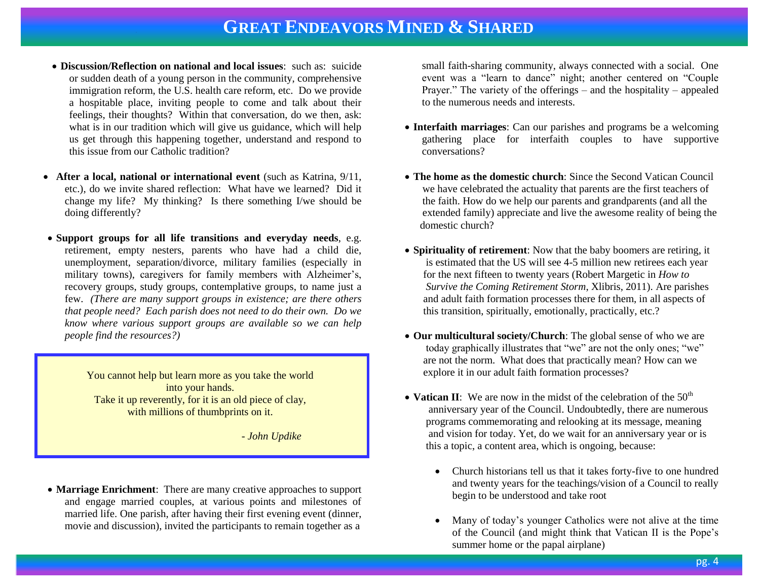- **Discussion/Reflection on national and local issues**: such as: suicide or sudden death of a young person in the community, comprehensive immigration reform, the U.S. health care reform, etc. Do we provide a hospitable place, inviting people to come and talk about their feelings, their thoughts? Within that conversation, do we then, ask: what is in our tradition which will give us guidance, which will help us get through this happening together, understand and respond to this issue from our Catholic tradition?
- **After a local, national or international event** (such as Katrina, 9/11, etc.), do we invite shared reflection: What have we learned? Did it change my life? My thinking? Is there something I/we should be doing differently?
- **Support groups for all life transitions and everyday needs**, e.g. retirement, empty nesters, parents who have had a child die, unemployment, separation/divorce, military families (especially in military towns), caregivers for family members with Alzheimer's, recovery groups, study groups, contemplative groups, to name just a few. *(There are many support groups in existence; are there others that people need? Each parish does not need to do their own. Do we know where various support groups are available so we can help people find the resources?)*

You cannot help but learn more as you take the world into your hands. Take it up reverently, for it is an old piece of clay, with millions of thumbprints on it.

 *- John Updike*

 **Marriage Enrichment**: There are many creative approaches to support and engage married couples, at various points and milestones of married life. One parish, after having their first evening event (dinner, movie and discussion), invited the participants to remain together as a

small faith-sharing community, always connected with a social. One event was a "learn to dance" night; another centered on "Couple Prayer." The variety of the offerings – and the hospitality – appealed to the numerous needs and interests.

- **Interfaith marriages**: Can our parishes and programs be a welcoming gathering place for interfaith couples to have supportive conversations?
- **The home as the domestic church**: Since the Second Vatican Council we have celebrated the actuality that parents are the first teachers of the faith. How do we help our parents and grandparents (and all the extended family) appreciate and live the awesome reality of being the domestic church?
- **Spirituality of retirement**: Now that the baby boomers are retiring, it is estimated that the US will see 4-5 million new retirees each year for the next fifteen to twenty years (Robert Margetic in *How to Survive the Coming Retirement Storm*, Xlibris, 2011). Are parishes and adult faith formation processes there for them, in all aspects of this transition, spiritually, emotionally, practically, etc.?
- **Our multicultural society/Church**: The global sense of who we are today graphically illustrates that "we" are not the only ones; "we" are not the norm. What does that practically mean? How can we explore it in our adult faith formation processes?
- Vatican II: We are now in the midst of the celebration of the  $50<sup>th</sup>$  anniversary year of the Council. Undoubtedly, there are numerous programs commemorating and relooking at its message, meaning and vision for today. Yet, do we wait for an anniversary year or is this a topic, a content area, which is ongoing, because:
	- Church historians tell us that it takes forty-five to one hundred and twenty years for the teachings/vision of a Council to really begin to be understood and take root
	- Many of today's younger Catholics were not alive at the time of the Council (and might think that Vatican II is the Pope's summer home or the papal airplane)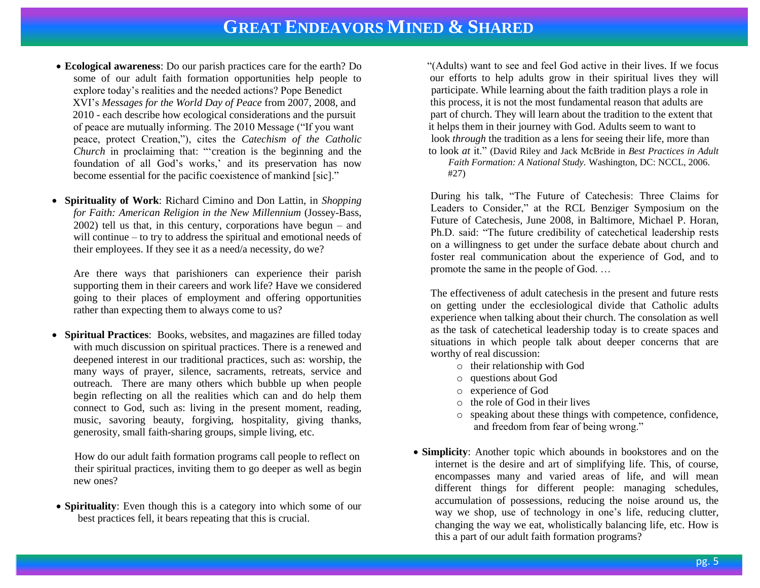- **Ecological awareness**: Do our parish practices care for the earth? Do some of our adult faith formation opportunities help people to explore today's realities and the needed actions? Pope Benedict XVI's *Messages for the World Day of Peace* from 2007, 2008, and 2010 - each describe how ecological considerations and the pursuit of peace are mutually informing. The 2010 Message ("If you want peace, protect Creation,"), cites the *Catechism of the Catholic Church* in proclaiming that: "'creation is the beginning and the foundation of all God's works,' and its preservation has now become essential for the pacific coexistence of mankind [sic]."
- **Spirituality of Work**: Richard Cimino and Don Lattin, in *Shopping for Faith: American Religion in the New Millennium* (Jossey-Bass, 2002) tell us that, in this century, corporations have begun – and will continue – to try to address the spiritual and emotional needs of their employees. If they see it as a need/a necessity, do we?

Are there ways that parishioners can experience their parish supporting them in their careers and work life? Have we considered going to their places of employment and offering opportunities rather than expecting them to always come to us?

 **Spiritual Practices**: Books, websites, and magazines are filled today with much discussion on spiritual practices. There is a renewed and deepened interest in our traditional practices, such as: worship, the many ways of prayer, silence, sacraments, retreats, service and outreach. There are many others which bubble up when people begin reflecting on all the realities which can and do help them connect to God, such as: living in the present moment, reading, music, savoring beauty, forgiving, hospitality, giving thanks, generosity, small faith-sharing groups, simple living, etc.

 How do our adult faith formation programs call people to reflect on their spiritual practices, inviting them to go deeper as well as begin new ones?

 **Spirituality**: Even though this is a category into which some of our best practices fell, it bears repeating that this is crucial.

 "(Adults) want to see and feel God active in their lives. If we focus our efforts to help adults grow in their spiritual lives they will participate. While learning about the faith tradition plays a role in this process, it is not the most fundamental reason that adults are part of church. They will learn about the tradition to the extent that it helps them in their journey with God. Adults seem to want to look *through* the tradition as a lens for seeing their life, more than to look *at* it." (David Riley and Jack McBride in *Best Practices in Adult* 

 *Faith Formation: A National Study.* Washington, DC: NCCL, 2006. #27)

During his talk, "The Future of Catechesis: Three Claims for Leaders to Consider," at the RCL Benziger Symposium on the Future of Catechesis, June 2008, in Baltimore, Michael P. Horan, Ph.D. said: "The future credibility of catechetical leadership rests on a willingness to get under the surface debate about church and foster real communication about the experience of God, and to promote the same in the people of God. …

The effectiveness of adult catechesis in the present and future rests on getting under the ecclesiological divide that Catholic adults experience when talking about their church. The consolation as well as the task of catechetical leadership today is to create spaces and situations in which people talk about deeper concerns that are worthy of real discussion:

- o their relationship with God
- o questions about God
- o experience of God
- o the role of God in their lives
- o speaking about these things with competence, confidence, and freedom from fear of being wrong."
- **Simplicity**: Another topic which abounds in bookstores and on the internet is the desire and art of simplifying life. This, of course, encompasses many and varied areas of life, and will mean different things for different people: managing schedules, accumulation of possessions, reducing the noise around us, the way we shop, use of technology in one's life, reducing clutter, changing the way we eat, wholistically balancing life, etc. How is this a part of our adult faith formation programs?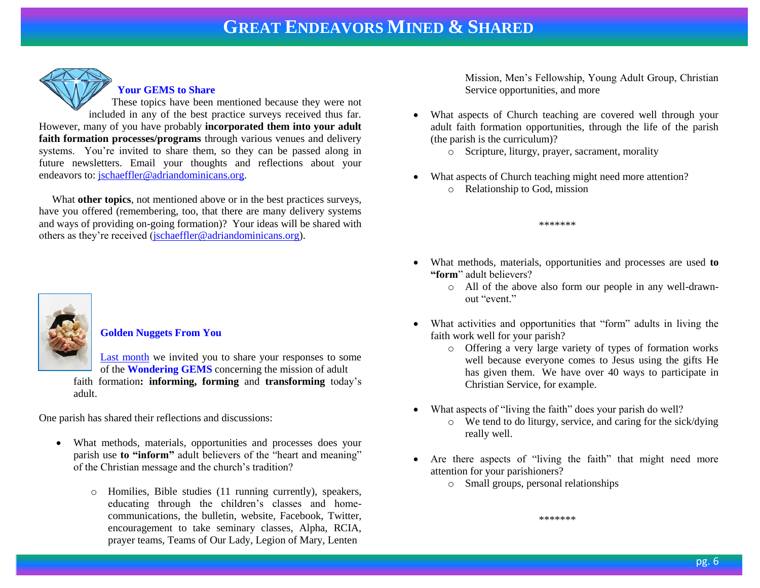

#### **Your GEMS to Share**

These topics have been mentioned because they were not included in any of the best practice surveys received thus far. However, many of you have probably **incorporated them into your adult faith formation processes/programs** through various venues and delivery systems. You're invited to share them, so they can be passed along in future newsletters. Email your thoughts and reflections about your endeavors to: [jschaeffler@adriandominicans.org.](mailto:jschaeffler@adriandominicans.org)

 What **other topics**, not mentioned above or in the best practices surveys, have you offered (remembering, too, that there are many delivery systems and ways of providing on-going formation)? Your ideas will be shared with others as they're received [\(jschaeffler@adriandominicans.org\)](mailto:jschaeffler@adriandominicans.org).



#### **Golden Nuggets From You**

[Last month](http://www.janetschaeffler.com/Best-Practices.html) we invited you to share your responses to some of the **Wondering GEMS** concerning the mission of adult faith formation**: informing, forming** and **transforming** today's adult.

One parish has shared their reflections and discussions:

- What methods, materials, opportunities and processes does your parish use **to "inform"** adult believers of the "heart and meaning" of the Christian message and the church's tradition?
	- o Homilies, Bible studies (11 running currently), speakers, educating through the children's classes and homecommunications, the bulletin, website, Facebook, Twitter, encouragement to take seminary classes, Alpha, RCIA, prayer teams, Teams of Our Lady, Legion of Mary, Lenten

Mission, Men's Fellowship, Young Adult Group, Christian Service opportunities, and more

- What aspects of Church teaching are covered well through your adult faith formation opportunities, through the life of the parish (the parish is the curriculum)?
	- $\circ$  Scripture, liturgy, prayer, sacrament, morality
- What aspects of Church teaching might need more attention?
	- o Relationship to God, mission

\*\*\*\*\*\*\*

- What methods, materials, opportunities and processes are used **to "form**" adult believers?
	- o All of the above also form our people in any well-drawnout "event"
- What activities and opportunities that "form" adults in living the faith work well for your parish?
	- o Offering a very large variety of types of formation works well because everyone comes to Jesus using the gifts He has given them. We have over 40 ways to participate in Christian Service, for example.
- What aspects of "living the faith" does your parish do well?
	- o We tend to do liturgy, service, and caring for the sick/dying really well.
- Are there aspects of "living the faith" that might need more attention for your parishioners?
	- o Small groups, personal relationships

\*\*\*\*\*\*\*